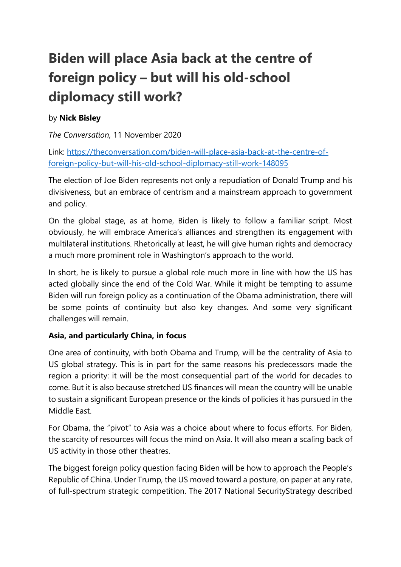# **Biden will place Asia back at the centre of foreign policy – but will his old-school diplomacy still work?**

## by **Nick Bisley**

*The Conversation,* 11 November 2020

Link: [https://theconversation.com/biden-will-place-asia-back-at-the-centre-of](https://theconversation.com/biden-will-place-asia-back-at-the-centre-of-foreign-policy-but-will-his-old-school-diplomacy-still-work-148095)[foreign-policy-but-will-his-old-school-diplomacy-still-work-148095](https://theconversation.com/biden-will-place-asia-back-at-the-centre-of-foreign-policy-but-will-his-old-school-diplomacy-still-work-148095)

The election of Joe Biden represents not only a repudiation of Donald Trump and his divisiveness, but an embrace of centrism and a mainstream approach to government and policy.

On the global stage, as at home, Biden is likely to follow a familiar script. Most obviously, he will embrace America's alliances and strengthen its engagement with multilateral institutions. Rhetorically at least, he will give human rights and democracy a much more prominent role in Washington's approach to the world.

In short, he is likely to pursue a global role much more in line with how the US has acted globally since the end of the Cold War. While it might be tempting to assume Biden will run foreign policy as a continuation of the Obama administration, there will be some points of continuity but also key changes. And some very significant challenges will remain.

## **Asia, and particularly China, in focus**

One area of continuity, with both Obama and Trump, will be the centrality of Asia to US global strategy. This is in part for the same reasons his predecessors made the region a priority: it will be the most consequential part of the world for decades to come. But it is also because stretched US finances will mean the country will be unable to sustain a significant European presence or the kinds of policies it has pursued in the Middle East.

For Obama, the "pivot" to Asia was a choice about where to focus efforts. For Biden, the scarcity of resources will focus the mind on Asia. It will also mean a scaling back of US activity in those other theatres.

The biggest foreign policy question facing Biden will be how to approach the People's Republic of China. Under Trump, the US moved toward a posture, on paper at any rate, of full-spectrum strategic competition. The 2017 National SecurityStrategy described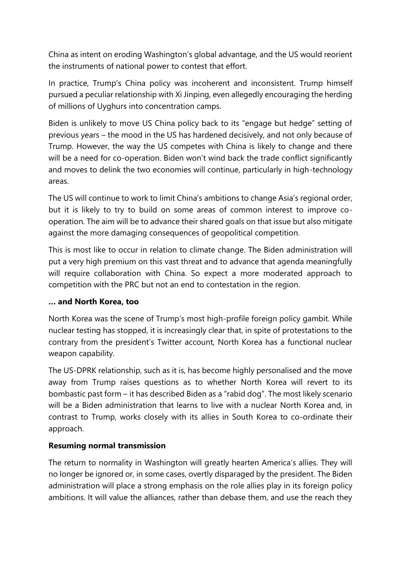China as intent on eroding Washington's global advantage, and the US would reorient the instruments of national power to contest that effort.

In practice, Trump's China policy was incoherent and inconsistent. Trump himself pursued a peculiar relationship with Xi Jinping, even allegedly encouraging the herding of millions of Uyghurs into concentration camps.

Biden is unlikely to move US China policy back to its "engage but hedge" setting of previous years – the mood in the US has hardened decisively, and not only because of Trump. However, the way the US competes with China is likely to change and there will be a need for co-operation. Biden won't wind back the trade conflict significantly and moves to delink the two economies will continue, particularly in high-technology areas.

The US will continue to work to limit China's ambitions to change Asia's regional order, but it is likely to try to build on some areas of common interest to improve cooperation. The aim will be to advance their shared goals on that issue but also mitigate against the more damaging consequences of geopolitical competition.

This is most like to occur in relation to climate change. The Biden administration will put a very high premium on this vast threat and to advance that agenda meaningfully will require collaboration with China. So expect a more moderated approach to competition with the PRC but not an end to contestation in the region.

### **… and North Korea, too**

North Korea was the scene of Trump's most high-profile foreign policy gambit. While nuclear testing has stopped, it is increasingly clear that, in spite of protestations to the contrary from the president's Twitter account, North Korea has a functional nuclear weapon capability.

The US-DPRK relationship, such as it is, has become highly personalised and the move away from Trump raises questions as to whether North Korea will revert to its bombastic past form – it has described Biden as a "rabid dog". The most likely scenario will be a Biden administration that learns to live with a nuclear North Korea and, in contrast to Trump, works closely with its allies in South Korea to co-ordinate their approach.

### **Resuming normal transmission**

The return to normality in Washington will greatly hearten America's allies. They will no longer be ignored or, in some cases, overtly disparaged by the president. The Biden administration will place a strong emphasis on the role allies play in its foreign policy ambitions. It will value the alliances, rather than debase them, and use the reach they